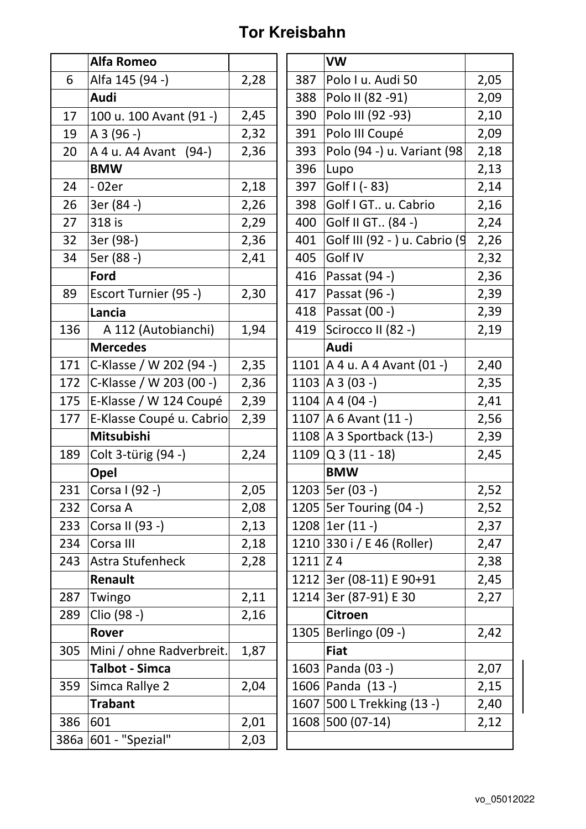## **Tor Kreisbahn**

|     | Alfa Romeo               |      |              | <b>VW</b>                      |      |
|-----|--------------------------|------|--------------|--------------------------------|------|
| 6   | Alfa 145 (94 -)          | 2,28 | 387          | Polo I u. Audi 50              | 2,05 |
|     | Audi                     |      | 388          | Polo II (82 - 91)              | 2,09 |
| 17  | 100 u. 100 Avant (91 -)  | 2,45 | 390          | Polo III (92 - 93)             | 2,10 |
| 19  | $A3(96 - )$              | 2,32 | 391          | Polo III Coupé                 | 2,09 |
| 20  | A 4 u. A 4 Avant (94-)   | 2,36 | 393          | Polo (94 -) u. Variant (98)    | 2,18 |
|     | <b>BMW</b>               |      | 396          | Lupo                           | 2,13 |
| 24  | - 02er                   | 2,18 | 397          | Golf I (- 83)                  | 2,14 |
| 26  | 3er (84 -)               | 2,26 | 398          | Golf I GT u. Cabrio            | 2,16 |
| 27  | 318 is                   | 2,29 | 400          | Golf II GT (84 -)              | 2,24 |
| 32  | 3er (98-)                | 2,36 | 401          | Golf III (92 - ) u. Cabrio (9  | 2,26 |
| 34  | 5er (88 -)               | 2,41 | 405          | Golf IV                        | 2,32 |
|     | Ford                     |      | 416          | Passat (94 -)                  | 2,36 |
| 89  | Escort Turnier (95 -)    | 2,30 | 417          | Passat (96 -)                  | 2,39 |
|     | Lancia                   |      | 418          | Passat (00 -)                  | 2,39 |
| 136 | A 112 (Autobianchi)      | 1,94 | 419          | Scirocco II (82 -)             | 2,19 |
|     | <b>Mercedes</b>          |      |              | Audi                           |      |
| 171 | C-Klasse / W 202 (94 -)  | 2,35 |              | 1101   A 4 u. A 4 Avant (01 -) | 2,40 |
| 172 | C-Klasse / W 203 (00 -)  | 2,36 |              | 1103   A 3 (03 -)              | 2,35 |
| 175 | E-Klasse / W 124 Coupé   | 2,39 |              | 1104   A 4 (04 -)              | 2,41 |
| 177 | E-Klasse Coupé u. Cabrio | 2,39 |              | 1107   A 6 Avant $(11 - )$     | 2,56 |
|     | Mitsubishi               |      |              | 1108 $A$ 3 Sportback (13-)     | 2,39 |
| 189 | Colt 3-türig (94 -)      | 2,24 |              | $1109$ Q 3 (11 - 18)           | 2,45 |
|     | Opel                     |      |              | <b>BMW</b>                     |      |
| 231 | Corsa I (92 -)           | 2,05 |              | 1203   5er (03 -)              | 2,52 |
| 232 | Corsa A                  | 2,08 |              | 1205   5er Touring (04 -)      | 2,52 |
| 233 | Corsa II (93 -)          | 2,13 |              | 1208 $ 1er(11 -)$              | 2,37 |
| 234 | Corsa III                | 2,18 |              | 1210 330 i / E 46 (Roller)     | 2,47 |
| 243 | Astra Stufenheck         | 2,28 | $1211$ $Z$ 4 |                                | 2,38 |
|     | Renault                  |      |              | 1212 3er (08-11) E 90+91       | 2,45 |
| 287 | Twingo                   | 2,11 |              | 1214 3er (87-91) E 30          | 2,27 |
| 289 | Clio (98 -)              | 2,16 |              | <b>Citroen</b>                 |      |
|     | Rover                    |      |              | 1305   Berlingo (09 -)         | 2,42 |
| 305 | Mini / ohne Radverbreit. | 1,87 |              | <b>Fiat</b>                    |      |
|     | <b>Talbot - Simca</b>    |      |              | 1603   Panda (03 -)            | 2,07 |
| 359 | Simca Rallye 2           | 2,04 |              | 1606 Panda (13 -)              | 2,15 |
|     | <b>Trabant</b>           |      |              | 1607 500 L Trekking (13 -)     | 2,40 |
| 386 | 601                      | 2,01 |              | 1608 500 (07-14)               | 2,12 |
|     | 386a 601 - "Spezial"     | 2,03 |              |                                |      |

|      | VW                               |      |
|------|----------------------------------|------|
| 387  | Polo I u. Audi 50                | 2,05 |
| 388  | Polo II (82 -91)                 | 2,09 |
| 390  | Polo III (92 -93)                | 2,10 |
| 391  | Polo III Coupé                   | 2,09 |
| 393  | Polo (94 -) u. Variant (98       | 2,18 |
| 396  | Lupo                             | 2,13 |
| 397  | Golf I (- 83)                    | 2,14 |
| 398  | Golf I GT u. Cabrio              | 2,16 |
| 400  | Golf II GT (84 -)                | 2,24 |
| 401  | Golf III (92 - ) u. Cabrio (9    | 2,26 |
| 405  | Golf IV                          | 2,32 |
| 416  | Passat (94 -)                    | 2,36 |
| 417  | Passat (96 -)                    | 2,39 |
| 418  | Passat (00 -)                    | 2,39 |
| 419  | Scirocco II (82 -)               | 2,19 |
|      | Audi                             |      |
|      | 1101   A 4 u. A 4 Avant $(01 -)$ | 2,40 |
|      | 1103   A 3 (03 -)                | 2,35 |
|      | 1104   A 4 (04 -)                | 2,41 |
|      | 1107   A 6 Avant $(11 - )$       | 2,56 |
|      | 1108   A 3 Sportback (13-)       | 2,39 |
|      | $1109$ Q 3 (11 - 18)             | 2,45 |
|      | <b>BMW</b>                       |      |
|      | 1203   5er (03 -)                | 2,52 |
| 1205 | 5er Touring (04 -)               | 2,52 |
| 1208 | $1er(11 - )$                     | 2,37 |
| 1210 | 330 i / E 46 (Roller)            | 2,47 |
| 1211 | Z <sub>4</sub>                   | 2,38 |
|      | 1212 3er (08-11) E 90+91         | 2,45 |
| 1214 | 3er (87-91) E 30                 | 2,27 |
|      | <b>Citroen</b>                   |      |
| 1305 | Berlingo (09 -)                  | 2,42 |
|      | <b>Fiat</b>                      |      |
|      | 1603   Panda (03 -)              | 2,07 |
| 1606 | Panda (13 -)                     | 2,15 |
| 1607 | 500 L Trekking (13 -)            | 2,40 |
| 1608 | 500 (07-14)                      | 2,12 |
|      |                                  |      |